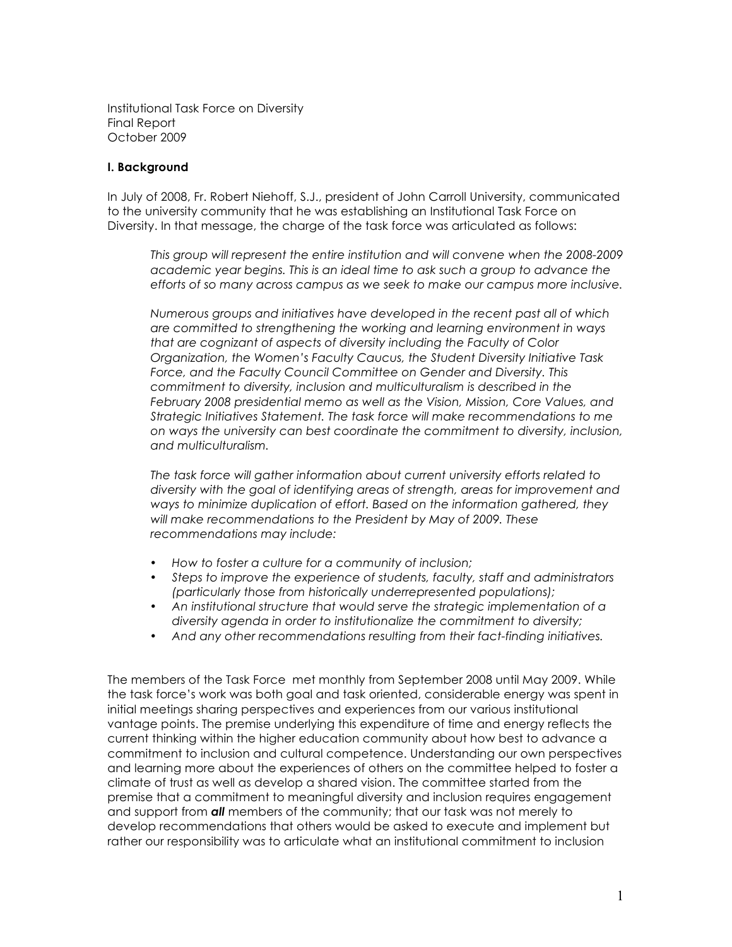Institutional Task Force on Diversity Final Report October 2009

### **I. Background**

In July of 2008, Fr. Robert Niehoff, S.J., president of John Carroll University, communicated to the university community that he was establishing an Institutional Task Force on Diversity. In that message, the charge of the task force was articulated as follows:

*This group will represent the entire institution and will convene when the 2008-2009 academic year begins. This is an ideal time to ask such a group to advance the efforts of so many across campus as we seek to make our campus more inclusive.* 

*Numerous groups and initiatives have developed in the recent past all of which are committed to strengthening the working and learning environment in ways that are cognizant of aspects of diversity including the Faculty of Color Organization, the Women's Faculty Caucus, the Student Diversity Initiative Task Force, and the Faculty Council Committee on Gender and Diversity. This commitment to diversity, inclusion and multiculturalism is described in the February 2008 presidential memo as well as the Vision, Mission, Core Values, and Strategic Initiatives Statement. The task force will make recommendations to me on ways the university can best coordinate the commitment to diversity, inclusion, and multiculturalism.*

*The task force will gather information about current university efforts related to diversity with the goal of identifying areas of strength, areas for improvement and ways to minimize duplication of effort. Based on the information gathered, they will make recommendations to the President by May of 2009. These recommendations may include:*

- *How to foster a culture for a community of inclusion;*
- *Steps to improve the experience of students, faculty, staff and administrators (particularly those from historically underrepresented populations);*
- *An institutional structure that would serve the strategic implementation of a diversity agenda in order to institutionalize the commitment to diversity;*
- *And any other recommendations resulting from their fact-finding initiatives.*

The members of the Task Force met monthly from September 2008 until May 2009. While the task force's work was both goal and task oriented, considerable energy was spent in initial meetings sharing perspectives and experiences from our various institutional vantage points. The premise underlying this expenditure of time and energy reflects the current thinking within the higher education community about how best to advance a commitment to inclusion and cultural competence. Understanding our own perspectives and learning more about the experiences of others on the committee helped to foster a climate of trust as well as develop a shared vision. The committee started from the premise that a commitment to meaningful diversity and inclusion requires engagement and support from *all* members of the community; that our task was not merely to develop recommendations that others would be asked to execute and implement but rather our responsibility was to articulate what an institutional commitment to inclusion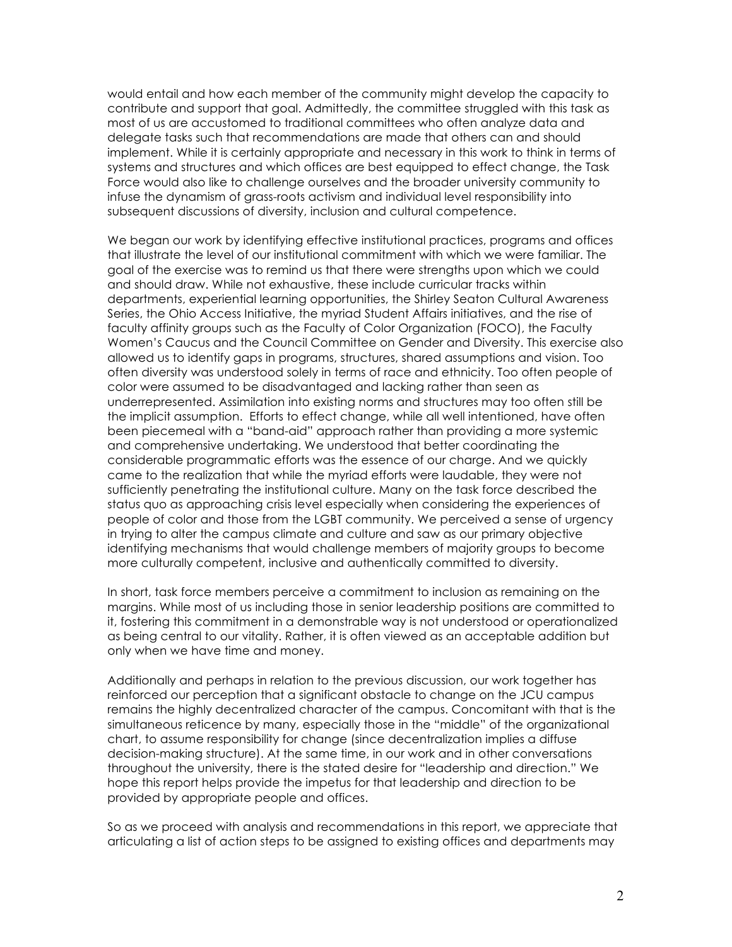would entail and how each member of the community might develop the capacity to contribute and support that goal. Admittedly, the committee struggled with this task as most of us are accustomed to traditional committees who often analyze data and delegate tasks such that recommendations are made that others can and should implement. While it is certainly appropriate and necessary in this work to think in terms of systems and structures and which offices are best equipped to effect change, the Task Force would also like to challenge ourselves and the broader university community to infuse the dynamism of grass-roots activism and individual level responsibility into subsequent discussions of diversity, inclusion and cultural competence.

We began our work by identifying effective institutional practices, programs and offices that illustrate the level of our institutional commitment with which we were familiar. The goal of the exercise was to remind us that there were strengths upon which we could and should draw. While not exhaustive, these include curricular tracks within departments, experiential learning opportunities, the Shirley Seaton Cultural Awareness Series, the Ohio Access Initiative, the myriad Student Affairs initiatives, and the rise of faculty affinity groups such as the Faculty of Color Organization (FOCO), the Faculty Women's Caucus and the Council Committee on Gender and Diversity. This exercise also allowed us to identify gaps in programs, structures, shared assumptions and vision. Too often diversity was understood solely in terms of race and ethnicity. Too often people of color were assumed to be disadvantaged and lacking rather than seen as underrepresented. Assimilation into existing norms and structures may too often still be the implicit assumption. Efforts to effect change, while all well intentioned, have often been piecemeal with a "band-aid" approach rather than providing a more systemic and comprehensive undertaking. We understood that better coordinating the considerable programmatic efforts was the essence of our charge. And we quickly came to the realization that while the myriad efforts were laudable, they were not sufficiently penetrating the institutional culture. Many on the task force described the status quo as approaching crisis level especially when considering the experiences of people of color and those from the LGBT community. We perceived a sense of urgency in trying to alter the campus climate and culture and saw as our primary objective identifying mechanisms that would challenge members of majority groups to become more culturally competent, inclusive and authentically committed to diversity.

In short, task force members perceive a commitment to inclusion as remaining on the margins. While most of us including those in senior leadership positions are committed to it, fostering this commitment in a demonstrable way is not understood or operationalized as being central to our vitality. Rather, it is often viewed as an acceptable addition but only when we have time and money.

Additionally and perhaps in relation to the previous discussion, our work together has reinforced our perception that a significant obstacle to change on the JCU campus remains the highly decentralized character of the campus. Concomitant with that is the simultaneous reticence by many, especially those in the "middle" of the organizational chart, to assume responsibility for change (since decentralization implies a diffuse decision-making structure). At the same time, in our work and in other conversations throughout the university, there is the stated desire for "leadership and direction." We hope this report helps provide the impetus for that leadership and direction to be provided by appropriate people and offices.

So as we proceed with analysis and recommendations in this report, we appreciate that articulating a list of action steps to be assigned to existing offices and departments may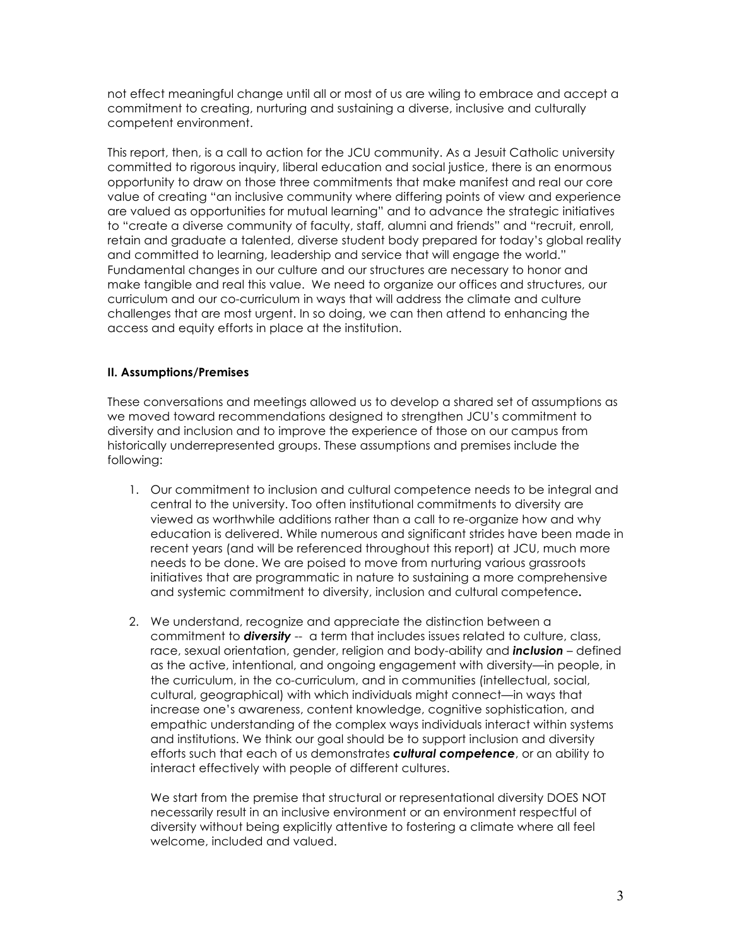not effect meaningful change until all or most of us are wiling to embrace and accept a commitment to creating, nurturing and sustaining a diverse, inclusive and culturally competent environment.

This report, then, is a call to action for the JCU community. As a Jesuit Catholic university committed to rigorous inquiry, liberal education and social justice, there is an enormous opportunity to draw on those three commitments that make manifest and real our core value of creating "an inclusive community where differing points of view and experience are valued as opportunities for mutual learning" and to advance the strategic initiatives to "create a diverse community of faculty, staff, alumni and friends" and "recruit, enroll, retain and graduate a talented, diverse student body prepared for today's global reality and committed to learning, leadership and service that will engage the world." Fundamental changes in our culture and our structures are necessary to honor and make tangible and real this value. We need to organize our offices and structures, our curriculum and our co-curriculum in ways that will address the climate and culture challenges that are most urgent. In so doing, we can then attend to enhancing the access and equity efforts in place at the institution.

# **II. Assumptions/Premises**

These conversations and meetings allowed us to develop a shared set of assumptions as we moved toward recommendations designed to strengthen JCU's commitment to diversity and inclusion and to improve the experience of those on our campus from historically underrepresented groups. These assumptions and premises include the following:

- 1. Our commitment to inclusion and cultural competence needs to be integral and central to the university. Too often institutional commitments to diversity are viewed as worthwhile additions rather than a call to re-organize how and why education is delivered. While numerous and significant strides have been made in recent years (and will be referenced throughout this report) at JCU, much more needs to be done. We are poised to move from nurturing various grassroots initiatives that are programmatic in nature to sustaining a more comprehensive and systemic commitment to diversity, inclusion and cultural competence**.**
- 2. We understand, recognize and appreciate the distinction between a commitment to *diversity* -- a term that includes issues related to culture, class, race, sexual orientation, gender, religion and body-ability and *inclusion* – defined as the active, intentional, and ongoing engagement with diversity—in people, in the curriculum, in the co-curriculum, and in communities (intellectual, social, cultural, geographical) with which individuals might connect—in ways that increase one's awareness, content knowledge, cognitive sophistication, and empathic understanding of the complex ways individuals interact within systems and institutions. We think our goal should be to support inclusion and diversity efforts such that each of us demonstrates *cultural competence*, or an ability to interact effectively with people of different cultures.

We start from the premise that structural or representational diversity DOES NOT necessarily result in an inclusive environment or an environment respectful of diversity without being explicitly attentive to fostering a climate where all feel welcome, included and valued.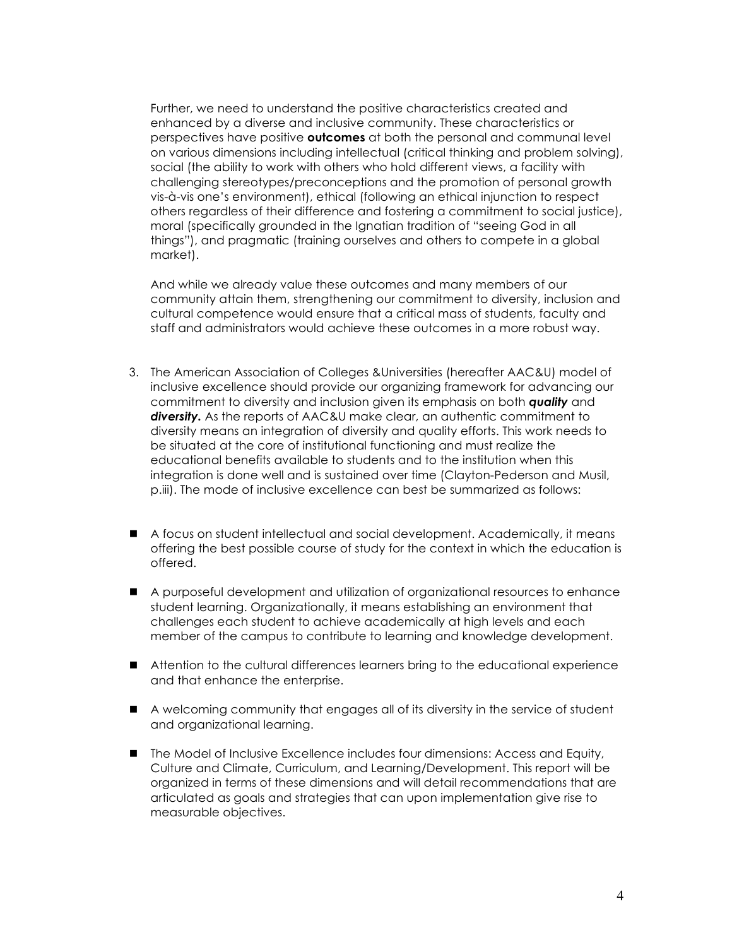Further, we need to understand the positive characteristics created and enhanced by a diverse and inclusive community. These characteristics or perspectives have positive **outcomes** at both the personal and communal level on various dimensions including intellectual (critical thinking and problem solving), social (the ability to work with others who hold different views, a facility with challenging stereotypes/preconceptions and the promotion of personal growth vis-à-vis one's environment), ethical (following an ethical injunction to respect others regardless of their difference and fostering a commitment to social justice), moral (specifically grounded in the Ignatian tradition of "seeing God in all things"), and pragmatic (training ourselves and others to compete in a global market).

And while we already value these outcomes and many members of our community attain them, strengthening our commitment to diversity, inclusion and cultural competence would ensure that a critical mass of students, faculty and staff and administrators would achieve these outcomes in a more robust way.

- 3. The American Association of Colleges &Universities (hereafter AAC&U) model of inclusive excellence should provide our organizing framework for advancing our commitment to diversity and inclusion given its emphasis on both *quality* and *diversity.* As the reports of AAC&U make clear, an authentic commitment to diversity means an integration of diversity and quality efforts. This work needs to be situated at the core of institutional functioning and must realize the educational benefits available to students and to the institution when this integration is done well and is sustained over time (Clayton-Pederson and Musil, p.iii). The mode of inclusive excellence can best be summarized as follows:
- ! A focus on student intellectual and social development. Academically, it means offering the best possible course of study for the context in which the education is offered.
- ! A purposeful development and utilization of organizational resources to enhance student learning. Organizationally, it means establishing an environment that challenges each student to achieve academically at high levels and each member of the campus to contribute to learning and knowledge development.
- ! Attention to the cultural differences learners bring to the educational experience and that enhance the enterprise.
- ! A welcoming community that engages all of its diversity in the service of student and organizational learning.
- **If** The Model of Inclusive Excellence includes four dimensions: Access and Equity, Culture and Climate, Curriculum, and Learning/Development. This report will be organized in terms of these dimensions and will detail recommendations that are articulated as goals and strategies that can upon implementation give rise to measurable objectives.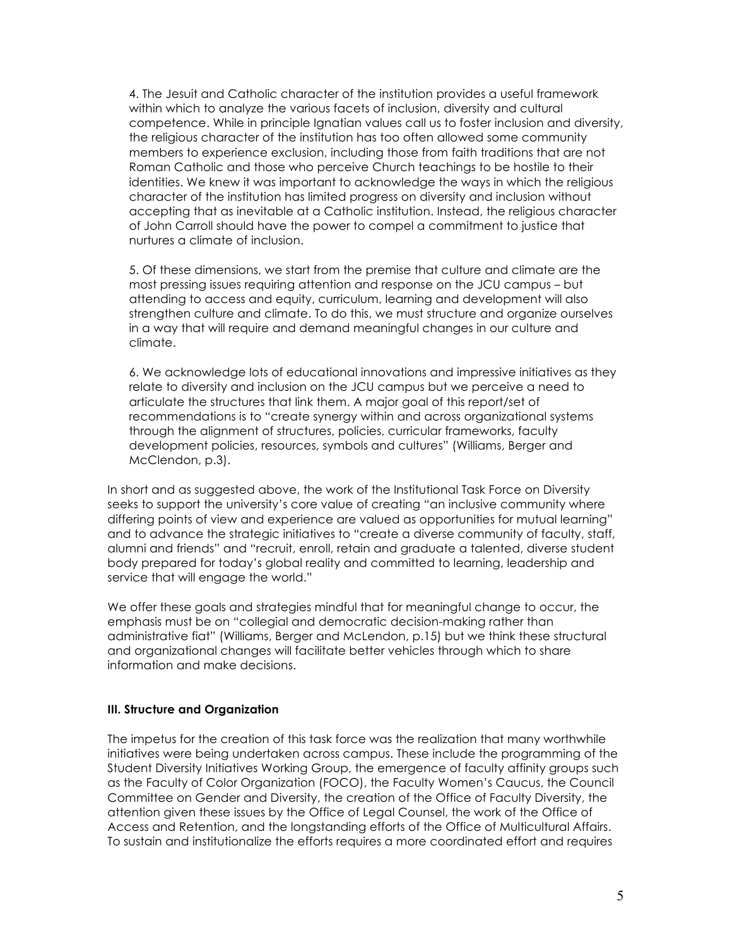4. The Jesuit and Catholic character of the institution provides a useful framework within which to analyze the various facets of inclusion, diversity and cultural competence. While in principle Ignatian values call us to foster inclusion and diversity, the religious character of the institution has too often allowed some community members to experience exclusion, including those from faith traditions that are not Roman Catholic and those who perceive Church teachings to be hostile to their identities. We knew it was important to acknowledge the ways in which the religious character of the institution has limited progress on diversity and inclusion without accepting that as inevitable at a Catholic institution. Instead, the religious character of John Carroll should have the power to compel a commitment to justice that nurtures a climate of inclusion.

5. Of these dimensions, we start from the premise that culture and climate are the most pressing issues requiring attention and response on the JCU campus – but attending to access and equity, curriculum, learning and development will also strengthen culture and climate. To do this, we must structure and organize ourselves in a way that will require and demand meaningful changes in our culture and climate.

6. We acknowledge lots of educational innovations and impressive initiatives as they relate to diversity and inclusion on the JCU campus but we perceive a need to articulate the structures that link them. A major goal of this report/set of recommendations is to "create synergy within and across organizational systems through the alignment of structures, policies, curricular frameworks, faculty development policies, resources, symbols and cultures" (Williams, Berger and McClendon, p.3).

In short and as suggested above, the work of the Institutional Task Force on Diversity seeks to support the university's core value of creating "an inclusive community where differing points of view and experience are valued as opportunities for mutual learning" and to advance the strategic initiatives to "create a diverse community of faculty, staff, alumni and friends" and "recruit, enroll, retain and graduate a talented, diverse student body prepared for today's global reality and committed to learning, leadership and service that will engage the world."

We offer these goals and strategies mindful that for meaningful change to occur, the emphasis must be on "collegial and democratic decision-making rather than administrative fiat" (Williams, Berger and McLendon, p.15) but we think these structural and organizational changes will facilitate better vehicles through which to share information and make decisions.

#### **III. Structure and Organization**

The impetus for the creation of this task force was the realization that many worthwhile initiatives were being undertaken across campus. These include the programming of the Student Diversity Initiatives Working Group, the emergence of faculty affinity groups such as the Faculty of Color Organization (FOCO), the Faculty Women's Caucus, the Council Committee on Gender and Diversity, the creation of the Office of Faculty Diversity, the attention given these issues by the Office of Legal Counsel, the work of the Office of Access and Retention, and the longstanding efforts of the Office of Multicultural Affairs. To sustain and institutionalize the efforts requires a more coordinated effort and requires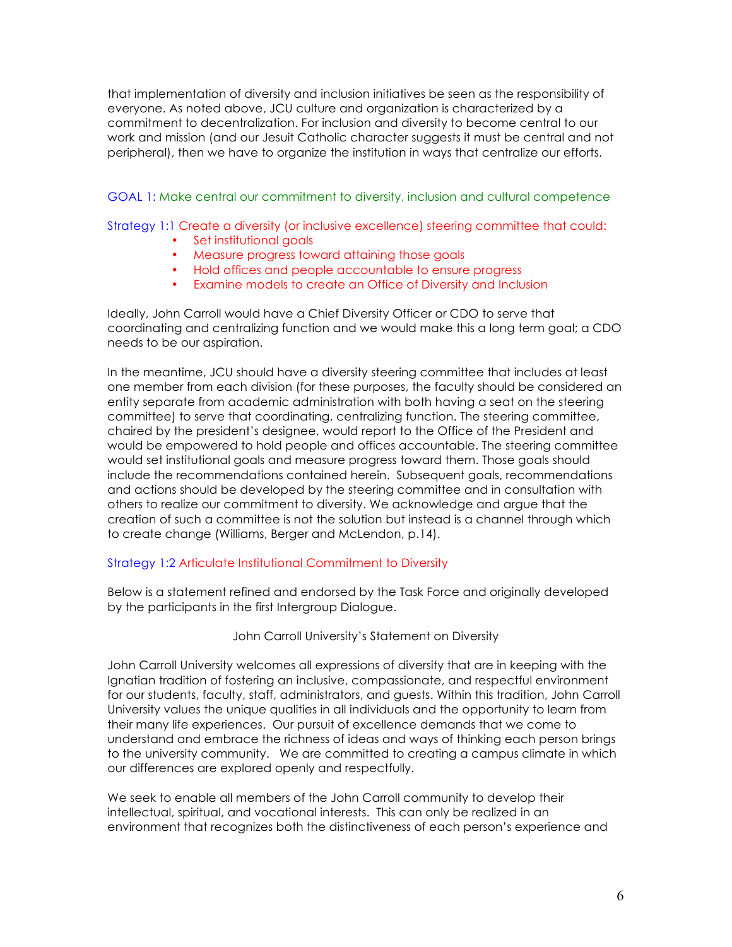that implementation of diversity and inclusion initiatives be seen as the responsibility of everyone. As noted above, JCU culture and organization is characterized by a commitment to decentralization. For inclusion and diversity to become central to our work and mission (and our Jesuit Catholic character suggests it must be central and not peripheral), then we have to organize the institution in ways that centralize our efforts.

GOAL 1: Make central our commitment to diversity, inclusion and cultural competence

Strategy 1:1 Create a diversity (or inclusive excellence) steering committee that could:

- Set institutional goals
- Measure progress toward attaining those goals
- Hold offices and people accountable to ensure progress
- Examine models to create an Office of Diversity and Inclusion

Ideally, John Carroll would have a Chief Diversity Officer or CDO to serve that coordinating and centralizing function and we would make this a long term goal; a CDO needs to be our aspiration.

In the meantime, JCU should have a diversity steering committee that includes at least one member from each division (for these purposes, the faculty should be considered an entity separate from academic administration with both having a seat on the steering committee) to serve that coordinating, centralizing function. The steering committee, chaired by the president's designee, would report to the Office of the President and would be empowered to hold people and offices accountable. The steering committee would set institutional goals and measure progress toward them. Those goals should include the recommendations contained herein.Subsequent goals, recommendations and actions should be developed by the steering committee and in consultation with others to realize our commitment to diversity. We acknowledge and argue that the creation of such a committee is not the solution but instead is a channel through which to create change (Williams, Berger and McLendon, p.14).

# Strategy 1:2 Articulate Institutional Commitment to Diversity

Below is a statement refined and endorsed by the Task Force and originally developed by the participants in the first Intergroup Dialogue.

## John Carroll University's Statement on Diversity

John Carroll University welcomes all expressions of diversity that are in keeping with the Ignatian tradition of fostering an inclusive, compassionate, and respectful environment for our students, faculty, staff, administrators, and guests. Within this tradition, John Carroll University values the unique qualities in all individuals and the opportunity to learn from their many life experiences. Our pursuit of excellence demands that we come to understand and embrace the richness of ideas and ways of thinking each person brings to the university community. We are committed to creating a campus climate in which our differences are explored openly and respectfully.

We seek to enable all members of the John Carroll community to develop their intellectual, spiritual, and vocational interests. This can only be realized in an environment that recognizes both the distinctiveness of each person's experience and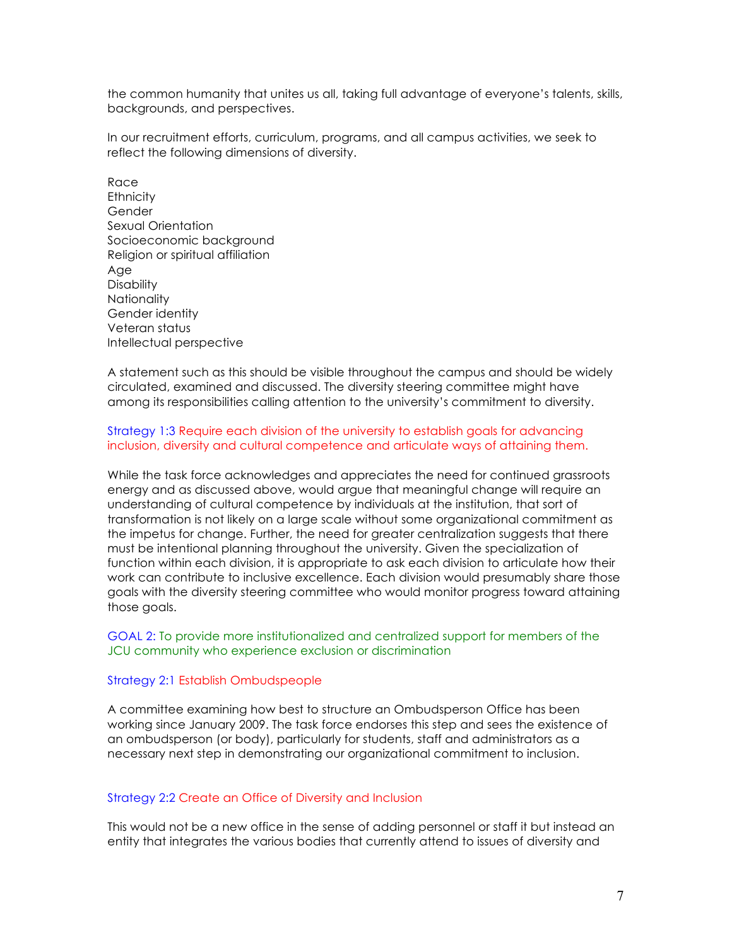the common humanity that unites us all, taking full advantage of everyone's talents, skills, backgrounds, and perspectives.

In our recruitment efforts, curriculum, programs, and all campus activities, we seek to reflect the following dimensions of diversity.

Race **Ethnicity** Gender Sexual Orientation Socioeconomic background Religion or spiritual affiliation Age **Disability Nationality** Gender identity Veteran status Intellectual perspective

A statement such as this should be visible throughout the campus and should be widely circulated, examined and discussed. The diversity steering committee might have among its responsibilities calling attention to the university's commitment to diversity.

### Strategy 1:3 Require each division of the university to establish goals for advancing inclusion, diversity and cultural competence and articulate ways of attaining them.

While the task force acknowledges and appreciates the need for continued grassroots energy and as discussed above, would argue that meaningful change will require an understanding of cultural competence by individuals at the institution, that sort of transformation is not likely on a large scale without some organizational commitment as the impetus for change. Further, the need for greater centralization suggests that there must be intentional planning throughout the university. Given the specialization of function within each division, it is appropriate to ask each division to articulate how their work can contribute to inclusive excellence. Each division would presumably share those goals with the diversity steering committee who would monitor progress toward attaining those goals.

### GOAL 2: To provide more institutionalized and centralized support for members of the JCU community who experience exclusion or discrimination

#### Strategy 2:1 Establish Ombudspeople

A committee examining how best to structure an Ombudsperson Office has been working since January 2009. The task force endorses this step and sees the existence of an ombudsperson (or body), particularly for students, staff and administrators as a necessary next step in demonstrating our organizational commitment to inclusion.

#### Strategy 2:2 Create an Office of Diversity and Inclusion

This would not be a new office in the sense of adding personnel or staff it but instead an entity that integrates the various bodies that currently attend to issues of diversity and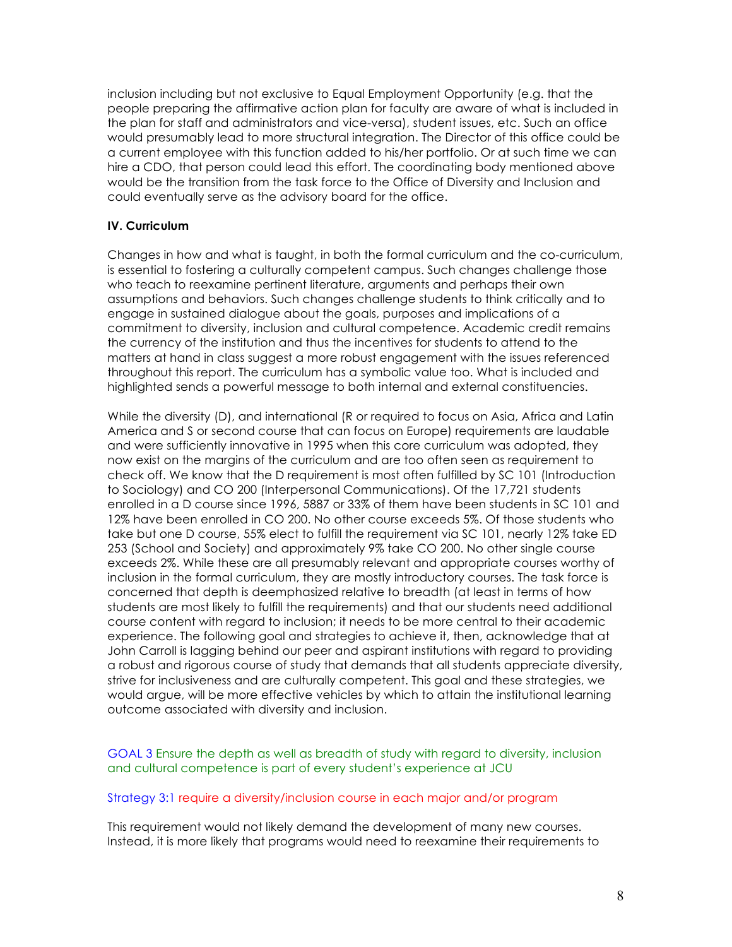inclusion including but not exclusive to Equal Employment Opportunity (e.g. that the people preparing the affirmative action plan for faculty are aware of what is included in the plan for staff and administrators and vice-versa), student issues, etc. Such an office would presumably lead to more structural integration. The Director of this office could be a current employee with this function added to his/her portfolio. Or at such time we can hire a CDO, that person could lead this effort. The coordinating body mentioned above would be the transition from the task force to the Office of Diversity and Inclusion and could eventually serve as the advisory board for the office.

## **IV. Curriculum**

Changes in how and what is taught, in both the formal curriculum and the co-curriculum, is essential to fostering a culturally competent campus. Such changes challenge those who teach to reexamine pertinent literature, arguments and perhaps their own assumptions and behaviors. Such changes challenge students to think critically and to engage in sustained dialogue about the goals, purposes and implications of a commitment to diversity, inclusion and cultural competence. Academic credit remains the currency of the institution and thus the incentives for students to attend to the matters at hand in class suggest a more robust engagement with the issues referenced throughout this report. The curriculum has a symbolic value too. What is included and highlighted sends a powerful message to both internal and external constituencies.

While the diversity (D), and international (R or required to focus on Asia, Africa and Latin America and S or second course that can focus on Europe) requirements are laudable and were sufficiently innovative in 1995 when this core curriculum was adopted, they now exist on the margins of the curriculum and are too often seen as requirement to check off. We know that the D requirement is most often fulfilled by SC 101 (Introduction to Sociology) and CO 200 (Interpersonal Communications). Of the 17,721 students enrolled in a D course since 1996, 5887 or 33% of them have been students in SC 101 and 12% have been enrolled in CO 200. No other course exceeds 5%. Of those students who take but one D course, 55% elect to fulfill the requirement via SC 101, nearly 12% take ED 253 (School and Society) and approximately 9% take CO 200. No other single course exceeds 2%. While these are all presumably relevant and appropriate courses worthy of inclusion in the formal curriculum, they are mostly introductory courses. The task force is concerned that depth is deemphasized relative to breadth (at least in terms of how students are most likely to fulfill the requirements) and that our students need additional course content with regard to inclusion; it needs to be more central to their academic experience. The following goal and strategies to achieve it, then, acknowledge that at John Carroll is lagging behind our peer and aspirant institutions with regard to providing a robust and rigorous course of study that demands that all students appreciate diversity, strive for inclusiveness and are culturally competent. This goal and these strategies, we would argue, will be more effective vehicles by which to attain the institutional learning outcome associated with diversity and inclusion.

GOAL 3 Ensure the depth as well as breadth of study with regard to diversity, inclusion and cultural competence is part of every student's experience at JCU

#### Strategy 3:1 require a diversity/inclusion course in each major and/or program

This requirement would not likely demand the development of many new courses. Instead, it is more likely that programs would need to reexamine their requirements to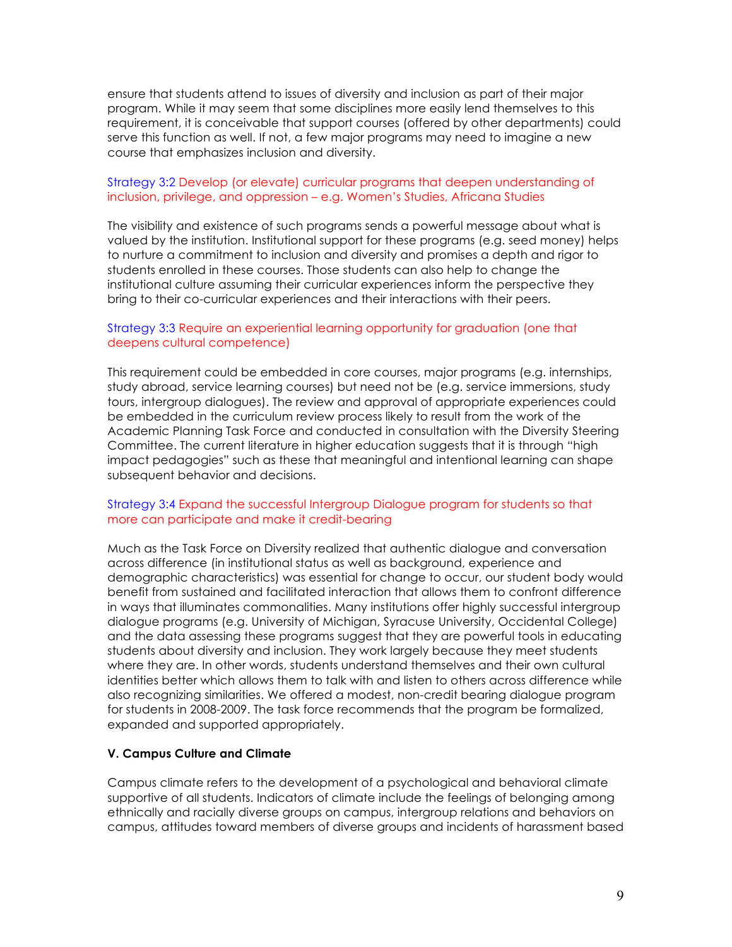ensure that students attend to issues of diversity and inclusion as part of their major program. While it may seem that some disciplines more easily lend themselves to this requirement, it is conceivable that support courses (offered by other departments) could serve this function as well. If not, a few major programs may need to imagine a new course that emphasizes inclusion and diversity.

## Strategy 3:2 Develop (or elevate) curricular programs that deepen understanding of inclusion, privilege, and oppression – e.g. Women's Studies, Africana Studies

The visibility and existence of such programs sends a powerful message about what is valued by the institution. Institutional support for these programs (e.g. seed money) helps to nurture a commitment to inclusion and diversity and promises a depth and rigor to students enrolled in these courses. Those students can also help to change the institutional culture assuming their curricular experiences inform the perspective they bring to their co-curricular experiences and their interactions with their peers.

## Strategy 3:3 Require an experiential learning opportunity for graduation (one that deepens cultural competence)

This requirement could be embedded in core courses, major programs (e.g. internships, study abroad, service learning courses) but need not be (e.g. service immersions, study tours, intergroup dialogues). The review and approval of appropriate experiences could be embedded in the curriculum review process likely to result from the work of the Academic Planning Task Force and conducted in consultation with the Diversity Steering Committee. The current literature in higher education suggests that it is through "high impact pedagogies" such as these that meaningful and intentional learning can shape subsequent behavior and decisions.

## Strategy 3:4 Expand the successful Intergroup Dialogue program for students so that more can participate and make it credit-bearing

Much as the Task Force on Diversity realized that authentic dialogue and conversation across difference (in institutional status as well as background, experience and demographic characteristics) was essential for change to occur, our student body would benefit from sustained and facilitated interaction that allows them to confront difference in ways that illuminates commonalities. Many institutions offer highly successful intergroup dialogue programs (e.g. University of Michigan, Syracuse University, Occidental College) and the data assessing these programs suggest that they are powerful tools in educating students about diversity and inclusion. They work largely because they meet students where they are. In other words, students understand themselves and their own cultural identities better which allows them to talk with and listen to others across difference while also recognizing similarities. We offered a modest, non-credit bearing dialogue program for students in 2008-2009. The task force recommends that the program be formalized, expanded and supported appropriately.

## **V. Campus Culture and Climate**

Campus climate refers to the development of a psychological and behavioral climate supportive of all students. Indicators of climate include the feelings of belonging among ethnically and racially diverse groups on campus, intergroup relations and behaviors on campus, attitudes toward members of diverse groups and incidents of harassment based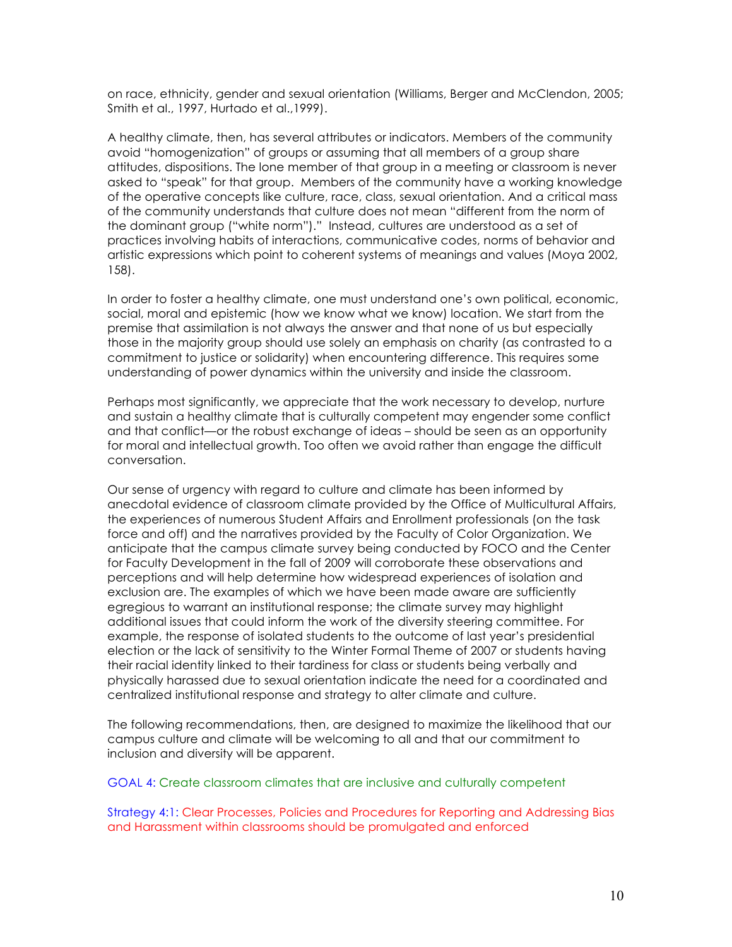on race, ethnicity, gender and sexual orientation (Williams, Berger and McClendon, 2005; Smith et al., 1997, Hurtado et al.,1999).

A healthy climate, then, has several attributes or indicators. Members of the community avoid "homogenization" of groups or assuming that all members of a group share attitudes, dispositions. The lone member of that group in a meeting or classroom is never asked to "speak" for that group. Members of the community have a working knowledge of the operative concepts like culture, race, class, sexual orientation. And a critical mass of the community understands that culture does not mean "different from the norm of the dominant group ("white norm")." Instead, cultures are understood as a set of practices involving habits of interactions, communicative codes, norms of behavior and artistic expressions which point to coherent systems of meanings and values (Moya 2002, 158).

In order to foster a healthy climate, one must understand one's own political, economic, social, moral and epistemic (how we know what we know) location. We start from the premise that assimilation is not always the answer and that none of us but especially those in the majority group should use solely an emphasis on charity (as contrasted to a commitment to justice or solidarity) when encountering difference. This requires some understanding of power dynamics within the university and inside the classroom.

Perhaps most significantly, we appreciate that the work necessary to develop, nurture and sustain a healthy climate that is culturally competent may engender some conflict and that conflict—or the robust exchange of ideas – should be seen as an opportunity for moral and intellectual growth. Too often we avoid rather than engage the difficult conversation.

Our sense of urgency with regard to culture and climate has been informed by anecdotal evidence of classroom climate provided by the Office of Multicultural Affairs, the experiences of numerous Student Affairs and Enrollment professionals (on the task force and off) and the narratives provided by the Faculty of Color Organization. We anticipate that the campus climate survey being conducted by FOCO and the Center for Faculty Development in the fall of 2009 will corroborate these observations and perceptions and will help determine how widespread experiences of isolation and exclusion are. The examples of which we have been made aware are sufficiently egregious to warrant an institutional response; the climate survey may highlight additional issues that could inform the work of the diversity steering committee. For example, the response of isolated students to the outcome of last year's presidential election or the lack of sensitivity to the Winter Formal Theme of 2007 or students having their racial identity linked to their tardiness for class or students being verbally and physically harassed due to sexual orientation indicate the need for a coordinated and centralized institutional response and strategy to alter climate and culture.

The following recommendations, then, are designed to maximize the likelihood that our campus culture and climate will be welcoming to all and that our commitment to inclusion and diversity will be apparent.

#### GOAL 4: Create classroom climates that are inclusive and culturally competent

Strategy 4:1: Clear Processes, Policies and Procedures for Reporting and Addressing Bias and Harassment within classrooms should be promulgated and enforced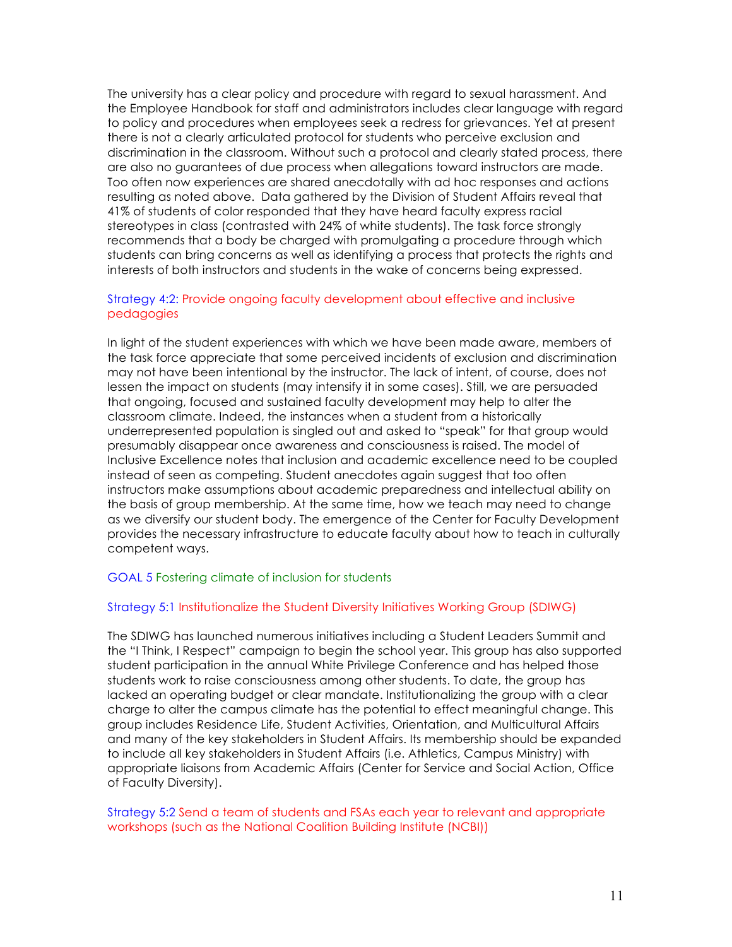The university has a clear policy and procedure with regard to sexual harassment. And the Employee Handbook for staff and administrators includes clear language with regard to policy and procedures when employees seek a redress for grievances. Yet at present there is not a clearly articulated protocol for students who perceive exclusion and discrimination in the classroom. Without such a protocol and clearly stated process, there are also no guarantees of due process when allegations toward instructors are made. Too often now experiences are shared anecdotally with ad hoc responses and actions resulting as noted above. Data gathered by the Division of Student Affairs reveal that 41% of students of color responded that they have heard faculty express racial stereotypes in class (contrasted with 24% of white students). The task force strongly recommends that a body be charged with promulgating a procedure through which students can bring concerns as well as identifying a process that protects the rights and interests of both instructors and students in the wake of concerns being expressed.

# Strategy 4:2: Provide ongoing faculty development about effective and inclusive pedagogies

In light of the student experiences with which we have been made aware, members of the task force appreciate that some perceived incidents of exclusion and discrimination may not have been intentional by the instructor. The lack of intent, of course, does not lessen the impact on students (may intensify it in some cases). Still, we are persuaded that ongoing, focused and sustained faculty development may help to alter the classroom climate. Indeed, the instances when a student from a historically underrepresented population is singled out and asked to "speak" for that group would presumably disappear once awareness and consciousness is raised. The model of Inclusive Excellence notes that inclusion and academic excellence need to be coupled instead of seen as competing. Student anecdotes again suggest that too often instructors make assumptions about academic preparedness and intellectual ability on the basis of group membership. At the same time, how we teach may need to change as we diversify our student body. The emergence of the Center for Faculty Development provides the necessary infrastructure to educate faculty about how to teach in culturally competent ways.

## GOAL 5 Fostering climate of inclusion for students

## Strategy 5:1 Institutionalize the Student Diversity Initiatives Working Group (SDIWG)

The SDIWG has launched numerous initiatives including a Student Leaders Summit and the "I Think, I Respect" campaign to begin the school year. This group has also supported student participation in the annual White Privilege Conference and has helped those students work to raise consciousness among other students. To date, the group has lacked an operating budget or clear mandate. Institutionalizing the group with a clear charge to alter the campus climate has the potential to effect meaningful change. This group includes Residence Life, Student Activities, Orientation, and Multicultural Affairs and many of the key stakeholders in Student Affairs. Its membership should be expanded to include all key stakeholders in Student Affairs (i.e. Athletics, Campus Ministry) with appropriate liaisons from Academic Affairs (Center for Service and Social Action, Office of Faculty Diversity).

### Strategy 5:2 Send a team of students and FSAs each year to relevant and appropriate workshops (such as the National Coalition Building Institute (NCBI))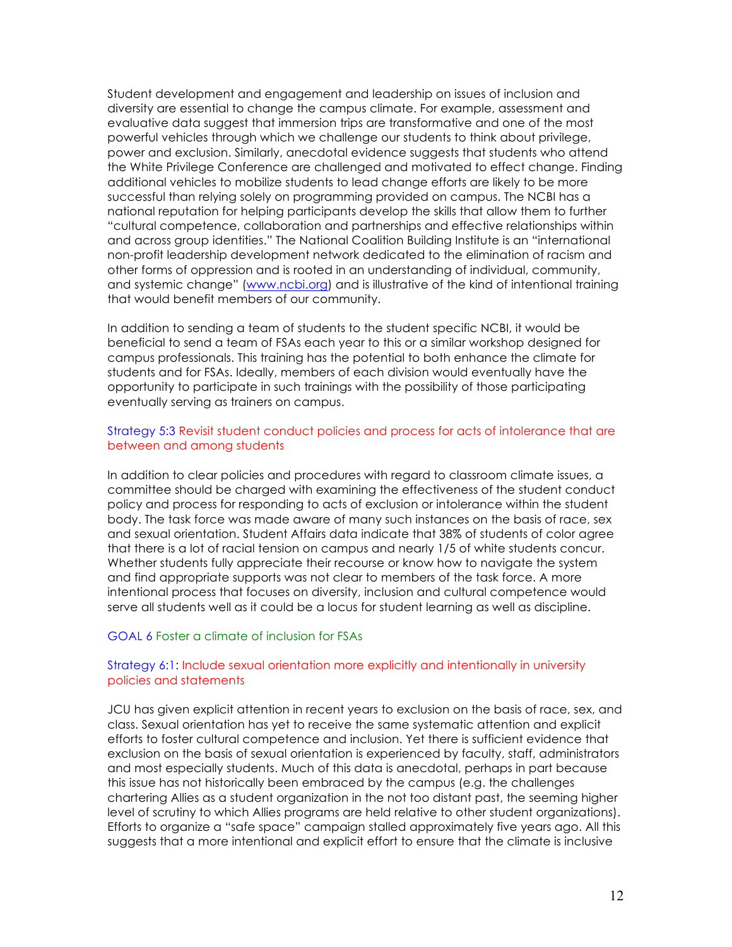Student development and engagement and leadership on issues of inclusion and diversity are essential to change the campus climate. For example, assessment and evaluative data suggest that immersion trips are transformative and one of the most powerful vehicles through which we challenge our students to think about privilege, power and exclusion. Similarly, anecdotal evidence suggests that students who attend the White Privilege Conference are challenged and motivated to effect change. Finding additional vehicles to mobilize students to lead change efforts are likely to be more successful than relying solely on programming provided on campus. The NCBI has a national reputation for helping participants develop the skills that allow them to further "cultural competence, collaboration and partnerships and effective relationships within and across group identities." The National Coalition Building Institute is an "international non-profit leadership development network dedicated to the elimination of racism and other forms of oppression and is rooted in an understanding of individual, community, and systemic change" (www.ncbi.org) and is illustrative of the kind of intentional training that would benefit members of our community.

In addition to sending a team of students to the student specific NCBI, it would be beneficial to send a team of FSAs each year to this or a similar workshop designed for campus professionals. This training has the potential to both enhance the climate for students and for FSAs. Ideally, members of each division would eventually have the opportunity to participate in such trainings with the possibility of those participating eventually serving as trainers on campus.

### Strategy 5:3 Revisit student conduct policies and process for acts of intolerance that are between and among students

In addition to clear policies and procedures with regard to classroom climate issues, a committee should be charged with examining the effectiveness of the student conduct policy and process for responding to acts of exclusion or intolerance within the student body. The task force was made aware of many such instances on the basis of race, sex and sexual orientation. Student Affairs data indicate that 38% of students of color agree that there is a lot of racial tension on campus and nearly 1/5 of white students concur. Whether students fully appreciate their recourse or know how to navigate the system and find appropriate supports was not clear to members of the task force. A more intentional process that focuses on diversity, inclusion and cultural competence would serve all students well as it could be a locus for student learning as well as discipline.

#### GOAL 6 Foster a climate of inclusion for FSAs

### Strategy 6:1: Include sexual orientation more explicitly and intentionally in university policies and statements

JCU has given explicit attention in recent years to exclusion on the basis of race, sex, and class. Sexual orientation has yet to receive the same systematic attention and explicit efforts to foster cultural competence and inclusion. Yet there is sufficient evidence that exclusion on the basis of sexual orientation is experienced by faculty, staff, administrators and most especially students. Much of this data is anecdotal, perhaps in part because this issue has not historically been embraced by the campus (e.g. the challenges chartering Allies as a student organization in the not too distant past, the seeming higher level of scrutiny to which Allies programs are held relative to other student organizations). Efforts to organize a "safe space" campaign stalled approximately five years ago. All this suggests that a more intentional and explicit effort to ensure that the climate is inclusive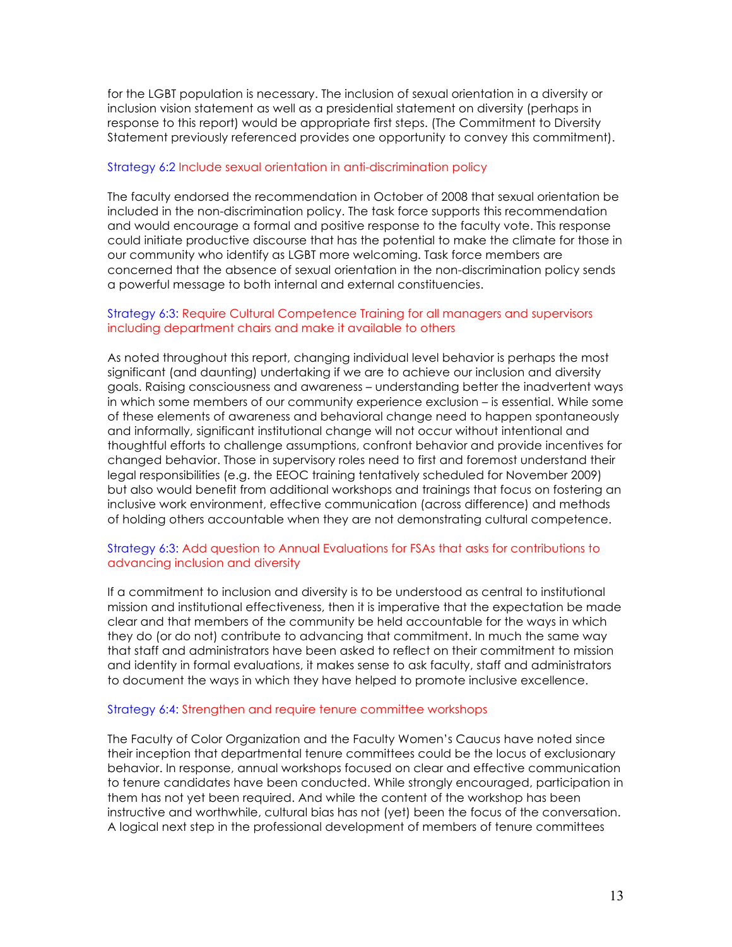for the LGBT population is necessary. The inclusion of sexual orientation in a diversity or inclusion vision statement as well as a presidential statement on diversity (perhaps in response to this report) would be appropriate first steps. (The Commitment to Diversity Statement previously referenced provides one opportunity to convey this commitment).

### Strategy 6:2 Include sexual orientation in anti-discrimination policy

The faculty endorsed the recommendation in October of 2008 that sexual orientation be included in the non-discrimination policy. The task force supports this recommendation and would encourage a formal and positive response to the faculty vote. This response could initiate productive discourse that has the potential to make the climate for those in our community who identify as LGBT more welcoming. Task force members are concerned that the absence of sexual orientation in the non-discrimination policy sends a powerful message to both internal and external constituencies.

### Strategy 6:3: Require Cultural Competence Training for all managers and supervisors including department chairs and make it available to others

As noted throughout this report, changing individual level behavior is perhaps the most significant (and daunting) undertaking if we are to achieve our inclusion and diversity goals. Raising consciousness and awareness – understanding better the inadvertent ways in which some members of our community experience exclusion – is essential. While some of these elements of awareness and behavioral change need to happen spontaneously and informally, significant institutional change will not occur without intentional and thoughtful efforts to challenge assumptions, confront behavior and provide incentives for changed behavior. Those in supervisory roles need to first and foremost understand their legal responsibilities (e.g. the EEOC training tentatively scheduled for November 2009) but also would benefit from additional workshops and trainings that focus on fostering an inclusive work environment, effective communication (across difference) and methods of holding others accountable when they are not demonstrating cultural competence.

## Strategy 6:3: Add question to Annual Evaluations for FSAs that asks for contributions to advancing inclusion and diversity

If a commitment to inclusion and diversity is to be understood as central to institutional mission and institutional effectiveness, then it is imperative that the expectation be made clear and that members of the community be held accountable for the ways in which they do (or do not) contribute to advancing that commitment. In much the same way that staff and administrators have been asked to reflect on their commitment to mission and identity in formal evaluations, it makes sense to ask faculty, staff and administrators to document the ways in which they have helped to promote inclusive excellence.

#### Strategy 6:4: Strengthen and require tenure committee workshops

The Faculty of Color Organization and the Faculty Women's Caucus have noted since their inception that departmental tenure committees could be the locus of exclusionary behavior. In response, annual workshops focused on clear and effective communication to tenure candidates have been conducted. While strongly encouraged, participation in them has not yet been required. And while the content of the workshop has been instructive and worthwhile, cultural bias has not (yet) been the focus of the conversation. A logical next step in the professional development of members of tenure committees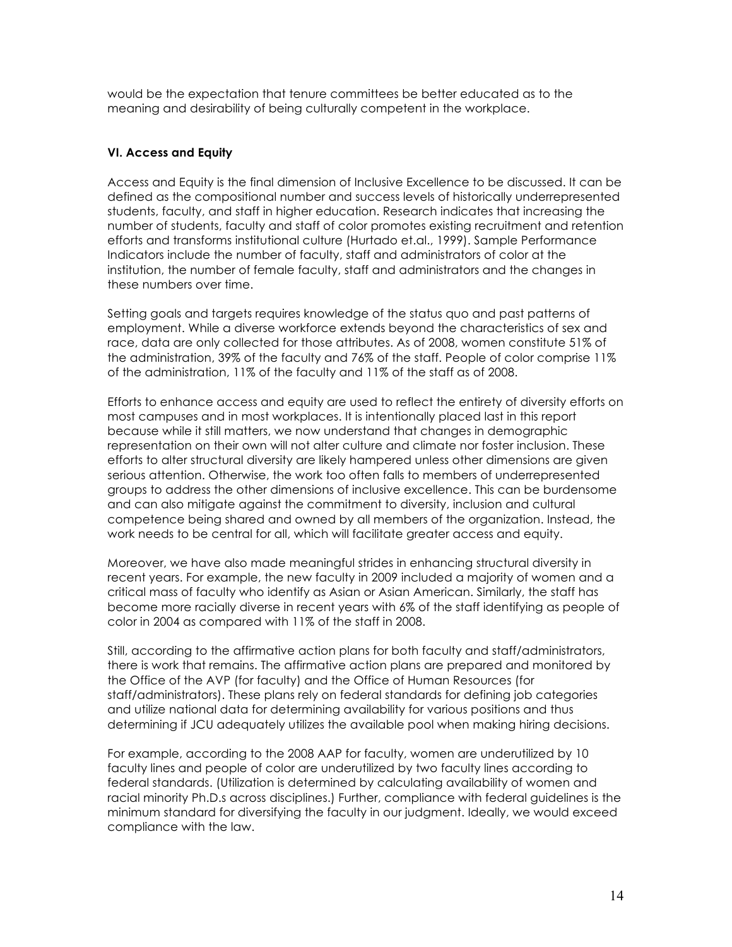would be the expectation that tenure committees be better educated as to the meaning and desirability of being culturally competent in the workplace.

## **VI. Access and Equity**

Access and Equity is the final dimension of Inclusive Excellence to be discussed. It can be defined as the compositional number and success levels of historically underrepresented students, faculty, and staff in higher education. Research indicates that increasing the number of students, faculty and staff of color promotes existing recruitment and retention efforts and transforms institutional culture (Hurtado et.al., 1999). Sample Performance Indicators include the number of faculty, staff and administrators of color at the institution, the number of female faculty, staff and administrators and the changes in these numbers over time.

Setting goals and targets requires knowledge of the status quo and past patterns of employment. While a diverse workforce extends beyond the characteristics of sex and race, data are only collected for those attributes. As of 2008, women constitute 51% of the administration, 39% of the faculty and 76% of the staff. People of color comprise 11% of the administration, 11% of the faculty and 11% of the staff as of 2008.

Efforts to enhance access and equity are used to reflect the entirety of diversity efforts on most campuses and in most workplaces. It is intentionally placed last in this report because while it still matters, we now understand that changes in demographic representation on their own will not alter culture and climate nor foster inclusion. These efforts to alter structural diversity are likely hampered unless other dimensions are given serious attention. Otherwise, the work too often falls to members of underrepresented groups to address the other dimensions of inclusive excellence. This can be burdensome and can also mitigate against the commitment to diversity, inclusion and cultural competence being shared and owned by all members of the organization. Instead, the work needs to be central for all, which will facilitate greater access and equity.

Moreover, we have also made meaningful strides in enhancing structural diversity in recent years. For example, the new faculty in 2009 included a majority of women and a critical mass of faculty who identify as Asian or Asian American. Similarly, the staff has become more racially diverse in recent years with 6% of the staff identifying as people of color in 2004 as compared with 11% of the staff in 2008.

Still, according to the affirmative action plans for both faculty and staff/administrators, there is work that remains. The affirmative action plans are prepared and monitored by the Office of the AVP (for faculty) and the Office of Human Resources (for staff/administrators). These plans rely on federal standards for defining job categories and utilize national data for determining availability for various positions and thus determining if JCU adequately utilizes the available pool when making hiring decisions.

For example, according to the 2008 AAP for faculty, women are underutilized by 10 faculty lines and people of color are underutilized by two faculty lines according to federal standards. (Utilization is determined by calculating availability of women and racial minority Ph.D.s across disciplines.) Further, compliance with federal guidelines is the minimum standard for diversifying the faculty in our judgment. Ideally, we would exceed compliance with the law.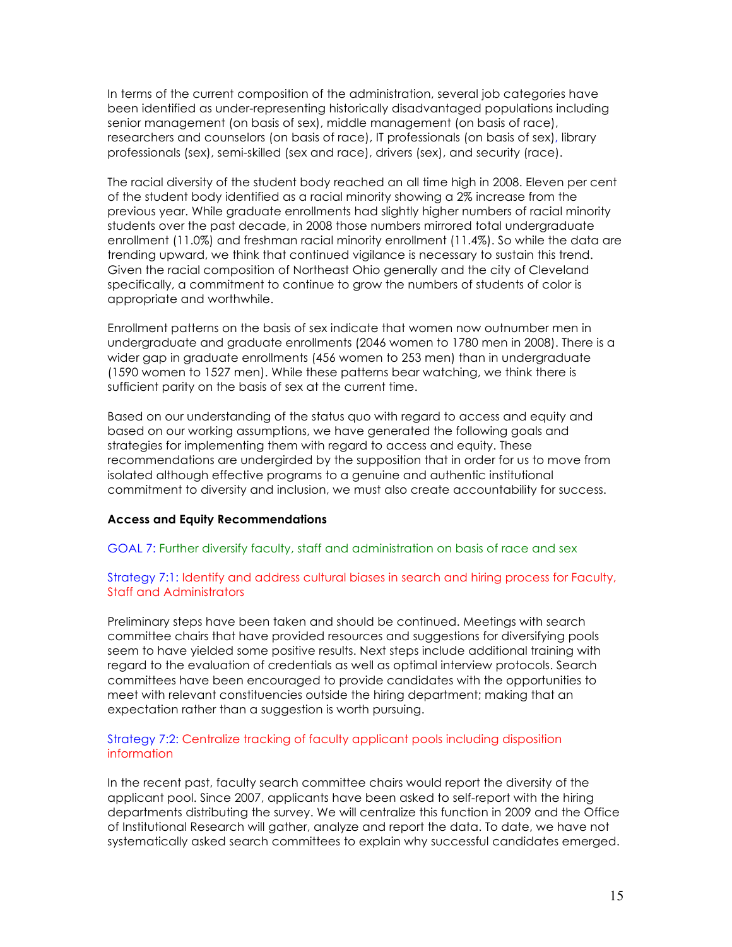In terms of the current composition of the administration, several job categories have been identified as under-representing historically disadvantaged populations including senior management (on basis of sex), middle management (on basis of race), researchers and counselors (on basis of race), IT professionals (on basis of sex), library professionals (sex), semi-skilled (sex and race), drivers (sex), and security (race).

The racial diversity of the student body reached an all time high in 2008. Eleven per cent of the student body identified as a racial minority showing a 2% increase from the previous year. While graduate enrollments had slightly higher numbers of racial minority students over the past decade, in 2008 those numbers mirrored total undergraduate enrollment (11.0%) and freshman racial minority enrollment (11.4%). So while the data are trending upward, we think that continued vigilance is necessary to sustain this trend. Given the racial composition of Northeast Ohio generally and the city of Cleveland specifically, a commitment to continue to grow the numbers of students of color is appropriate and worthwhile.

Enrollment patterns on the basis of sex indicate that women now outnumber men in undergraduate and graduate enrollments (2046 women to 1780 men in 2008). There is a wider gap in graduate enrollments (456 women to 253 men) than in undergraduate (1590 women to 1527 men). While these patterns bear watching, we think there is sufficient parity on the basis of sex at the current time.

Based on our understanding of the status quo with regard to access and equity and based on our working assumptions, we have generated the following goals and strategies for implementing them with regard to access and equity. These recommendations are undergirded by the supposition that in order for us to move from isolated although effective programs to a genuine and authentic institutional commitment to diversity and inclusion, we must also create accountability for success.

#### **Access and Equity Recommendations**

GOAL 7: Further diversify faculty, staff and administration on basis of race and sex

### Strategy 7:1: Identify and address cultural biases in search and hiring process for Faculty, Staff and Administrators

Preliminary steps have been taken and should be continued. Meetings with search committee chairs that have provided resources and suggestions for diversifying pools seem to have yielded some positive results. Next steps include additional training with regard to the evaluation of credentials as well as optimal interview protocols. Search committees have been encouraged to provide candidates with the opportunities to meet with relevant constituencies outside the hiring department; making that an expectation rather than a suggestion is worth pursuing.

## Strategy 7:2: Centralize tracking of faculty applicant pools including disposition information

In the recent past, faculty search committee chairs would report the diversity of the applicant pool. Since 2007, applicants have been asked to self-report with the hiring departments distributing the survey. We will centralize this function in 2009 and the Office of Institutional Research will gather, analyze and report the data. To date, we have not systematically asked search committees to explain why successful candidates emerged.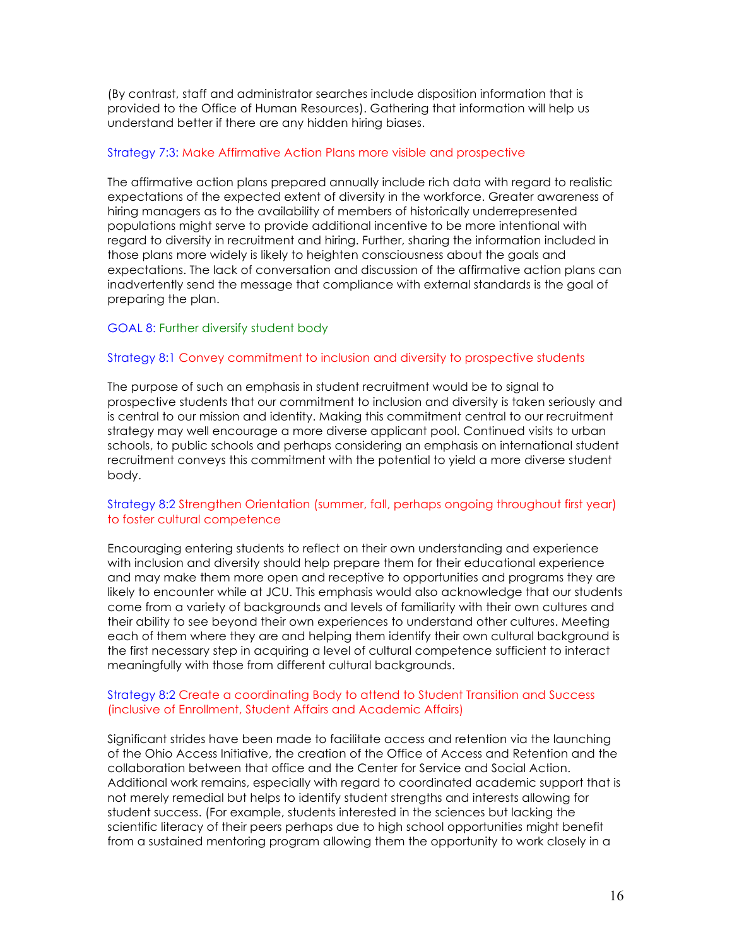(By contrast, staff and administrator searches include disposition information that is provided to the Office of Human Resources). Gathering that information will help us understand better if there are any hidden hiring biases.

### Strategy 7:3: Make Affirmative Action Plans more visible and prospective

The affirmative action plans prepared annually include rich data with regard to realistic expectations of the expected extent of diversity in the workforce. Greater awareness of hiring managers as to the availability of members of historically underrepresented populations might serve to provide additional incentive to be more intentional with regard to diversity in recruitment and hiring. Further, sharing the information included in those plans more widely is likely to heighten consciousness about the goals and expectations. The lack of conversation and discussion of the affirmative action plans can inadvertently send the message that compliance with external standards is the goal of preparing the plan.

## GOAL 8: Further diversify student body

#### Strategy 8:1 Convey commitment to inclusion and diversity to prospective students

The purpose of such an emphasis in student recruitment would be to signal to prospective students that our commitment to inclusion and diversity is taken seriously and is central to our mission and identity. Making this commitment central to our recruitment strategy may well encourage a more diverse applicant pool. Continued visits to urban schools, to public schools and perhaps considering an emphasis on international student recruitment conveys this commitment with the potential to yield a more diverse student body.

## Strategy 8:2 Strengthen Orientation (summer, fall, perhaps ongoing throughout first year) to foster cultural competence

Encouraging entering students to reflect on their own understanding and experience with inclusion and diversity should help prepare them for their educational experience and may make them more open and receptive to opportunities and programs they are likely to encounter while at JCU. This emphasis would also acknowledge that our students come from a variety of backgrounds and levels of familiarity with their own cultures and their ability to see beyond their own experiences to understand other cultures. Meeting each of them where they are and helping them identify their own cultural background is the first necessary step in acquiring a level of cultural competence sufficient to interact meaningfully with those from different cultural backgrounds.

### Strategy 8:2 Create a coordinating Body to attend to Student Transition and Success (inclusive of Enrollment, Student Affairs and Academic Affairs)

Significant strides have been made to facilitate access and retention via the launching of the Ohio Access Initiative, the creation of the Office of Access and Retention and the collaboration between that office and the Center for Service and Social Action. Additional work remains, especially with regard to coordinated academic support that is not merely remedial but helps to identify student strengths and interests allowing for student success. (For example, students interested in the sciences but lacking the scientific literacy of their peers perhaps due to high school opportunities might benefit from a sustained mentoring program allowing them the opportunity to work closely in a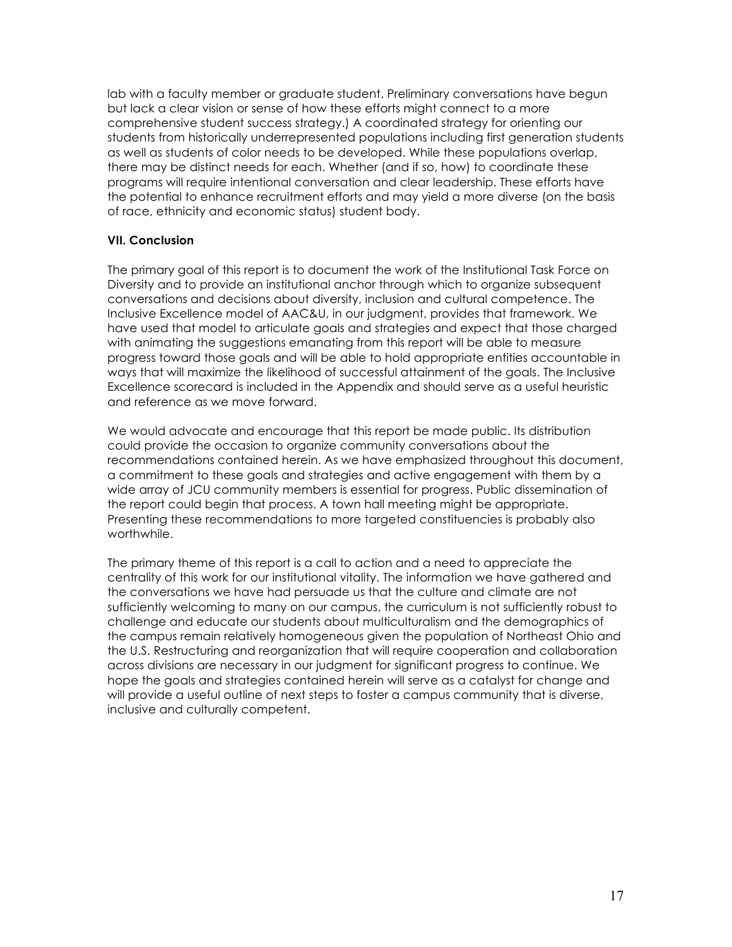lab with a faculty member or graduate student. Preliminary conversations have begun but lack a clear vision or sense of how these efforts might connect to a more comprehensive student success strategy.) A coordinated strategy for orienting our students from historically underrepresented populations including first generation students as well as students of color needs to be developed. While these populations overlap, there may be distinct needs for each. Whether (and if so, how) to coordinate these programs will require intentional conversation and clear leadership. These efforts have the potential to enhance recruitment efforts and may yield a more diverse (on the basis of race, ethnicity and economic status) student body.

# **VII. Conclusion**

The primary goal of this report is to document the work of the Institutional Task Force on Diversity and to provide an institutional anchor through which to organize subsequent conversations and decisions about diversity, inclusion and cultural competence. The Inclusive Excellence model of AAC&U, in our judgment, provides that framework. We have used that model to articulate goals and strategies and expect that those charged with animating the suggestions emanating from this report will be able to measure progress toward those goals and will be able to hold appropriate entities accountable in ways that will maximize the likelihood of successful attainment of the goals. The Inclusive Excellence scorecard is included in the Appendix and should serve as a useful heuristic and reference as we move forward.

We would advocate and encourage that this report be made public. Its distribution could provide the occasion to organize community conversations about the recommendations contained herein. As we have emphasized throughout this document, a commitment to these goals and strategies and active engagement with them by a wide array of JCU community members is essential for progress. Public dissemination of the report could begin that process. A town hall meeting might be appropriate. Presenting these recommendations to more targeted constituencies is probably also worthwhile.

The primary theme of this report is a call to action and a need to appreciate the centrality of this work for our institutional vitality. The information we have gathered and the conversations we have had persuade us that the culture and climate are not sufficiently welcoming to many on our campus, the curriculum is not sufficiently robust to challenge and educate our students about multiculturalism and the demographics of the campus remain relatively homogeneous given the population of Northeast Ohio and the U.S. Restructuring and reorganization that will require cooperation and collaboration across divisions are necessary in our judgment for significant progress to continue. We hope the goals and strategies contained herein will serve as a catalyst for change and will provide a useful outline of next steps to foster a campus community that is diverse, inclusive and culturally competent.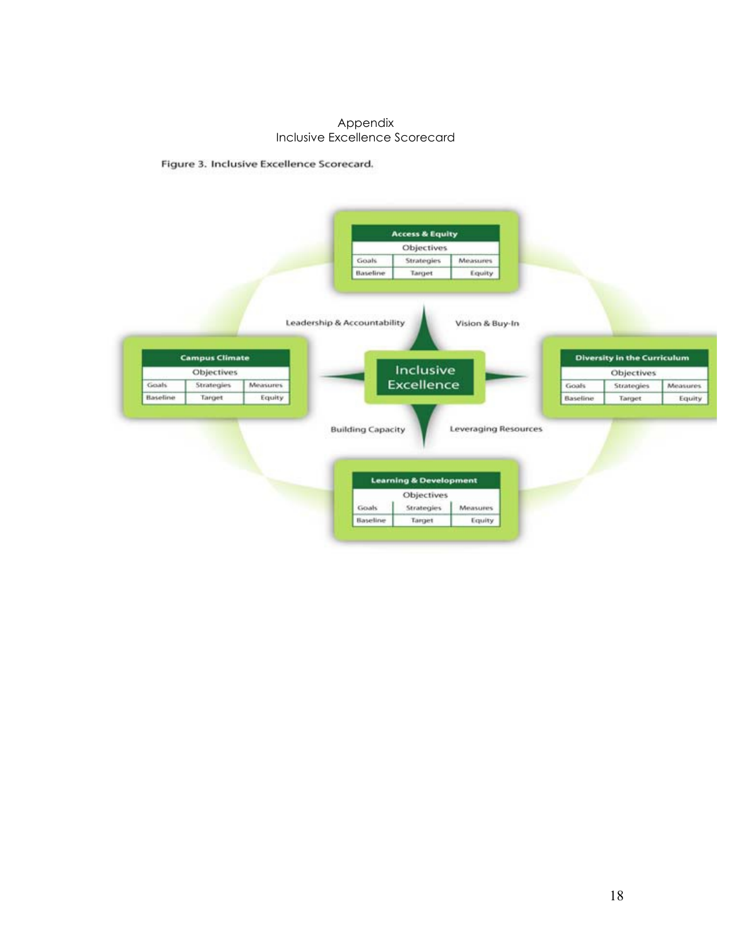### Appendix Inclusive Excellence Scorecard

Figure 3. Inclusive Excellence Scorecard.